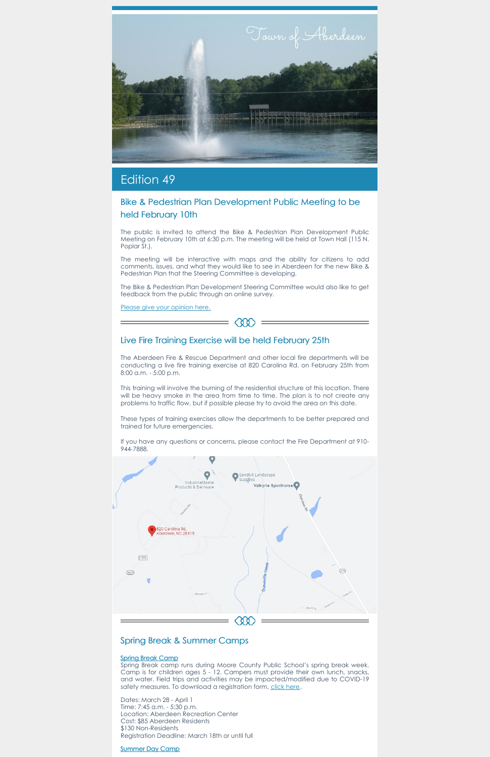

# Edition 49

# Bike & Pedestrian Plan Development Public Meeting to be held February 10th

The public is invited to attend the Bike & Pedestrian Plan Development Public Meeting on February 10th at 6:30 p.m. The meeting will be held at Town Hall (115 N. Poplar St.).

The meeting will be interactive with maps and the ability for citizens to add comments, issues, and what they would like to see in Aberdeen for the new Bike & Pedestrian Plan that the Steering Committee is developing.

The Bike & Pedestrian Plan Development Steering Committee would also like to get feedback from the public through an online survey.

 $= 000$ 

Please give your [opinion](https://forms.office.com/Pages/ResponsePage.aspx?id=tFrtFlkrQE6AbYowvcnPJgll-xkasLpEva_Fp94rfMdUM0dKNUVOVEFGUUVZM1BTSU5ZSEYzWFdUQi4u) here.

### Live Fire Training Exercise will be held February 25th

Spring Break camp runs during Moore County Public School's spring break week. Camp is for children ages 5 - 12. Campers must provide their own lunch, snacks, and water. Field trips and activities may be impacted/modified due to COVID-19 safety measures. To download a registration form, click [here](https://aberdeennc.municipalone.com/docview.aspx?docid=29058).

The Aberdeen Fire & Rescue Department and other local fire departments will be conducting a live fire training exercise at 820 Carolina Rd. on February 25th from 8:00 a.m. - 5:00 p.m.

This training will involve the burning of the residential structure at this location. There will be heavy smoke in the area from time to time. The plan is to not create any problems to traffic flow, but if possible please try to avoid the area on this date.

These types of training exercises allow the departments to be better prepared and trained for future emergencies.

If you have any questions or concerns, please contact the Fire Department at 910- 944-7888.





### Spring Break & Summer Camps

### Spring Break Camp

Dates: March 28 - April 1 Time: 7:45 a.m. - 5:30 p.m. Location: Aberdeen Recreation Center Cost: \$85 Aberdeen Residents \$130 Non-Residents Registration Deadline: March 18th or until full

### Summer Day Camp